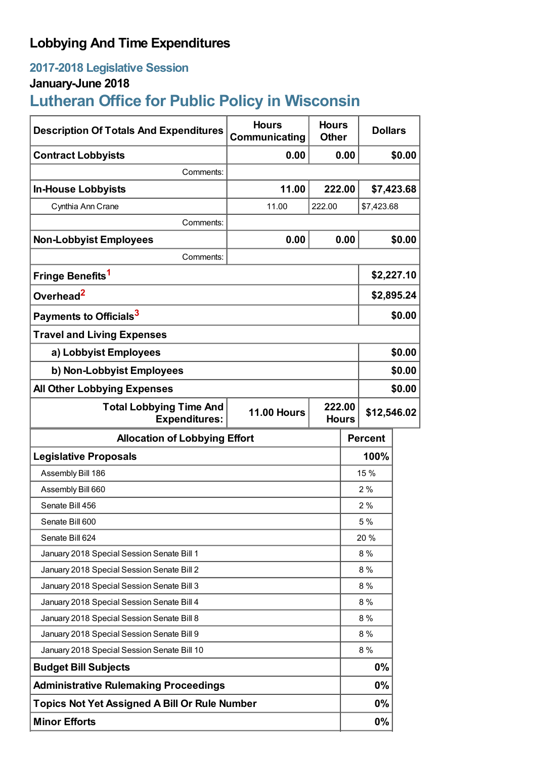## **Lobbying And Time Expenditures**

## **2017-2018 Legislative Session**

## **January-June 2018**

# **Lutheran Office for Public Policy in Wisconsin**

| <b>Description Of Totals And Expenditures</b>          | <b>Hours</b><br>Communicating | <b>Hours</b><br><b>Other</b> |                                       | <b>Dollars</b> |        |
|--------------------------------------------------------|-------------------------------|------------------------------|---------------------------------------|----------------|--------|
| <b>Contract Lobbyists</b>                              | 0.00                          | 0.00                         |                                       | \$0.00         |        |
| Comments:                                              |                               |                              |                                       |                |        |
| <b>In-House Lobbyists</b>                              | 11.00                         | 222.00                       |                                       | \$7,423.68     |        |
| Cynthia Ann Crane                                      | 11.00                         | 222.00                       |                                       | \$7,423.68     |        |
| Comments:                                              |                               |                              |                                       |                |        |
| <b>Non-Lobbyist Employees</b>                          | 0.00                          | 0.00                         |                                       | \$0.00         |        |
| Comments:                                              |                               |                              |                                       |                |        |
| Fringe Benefits <sup>1</sup>                           |                               |                              |                                       | \$2,227.10     |        |
| Overhead <sup>2</sup>                                  |                               |                              |                                       | \$2,895.24     |        |
| Payments to Officials <sup>3</sup>                     |                               |                              |                                       | \$0.00         |        |
| <b>Travel and Living Expenses</b>                      |                               |                              |                                       |                |        |
| a) Lobbyist Employees                                  |                               |                              |                                       | \$0.00         |        |
| b) Non-Lobbyist Employees                              |                               |                              |                                       | \$0.00         |        |
| <b>All Other Lobbying Expenses</b>                     |                               |                              |                                       |                | \$0.00 |
| <b>Total Lobbying Time And</b><br><b>Expenditures:</b> | <b>11.00 Hours</b>            |                              | 222.00<br>\$12,546.02<br><b>Hours</b> |                |        |
| <b>Allocation of Lobbying Effort</b>                   |                               |                              |                                       | <b>Percent</b> |        |
| <b>Legislative Proposals</b>                           |                               |                              |                                       | 100%           |        |
| Assembly Bill 186                                      |                               |                              | 15 %                                  |                |        |
| Assembly Bill 660                                      |                               |                              |                                       | 2%             |        |
| Senate Bill 456                                        |                               |                              | 2%                                    |                |        |
| Senate Bill 600                                        |                               |                              | 5 %                                   |                |        |
| Senate Bill 624                                        |                               |                              | 20 %                                  |                |        |
| January 2018 Special Session Senate Bill 1             |                               |                              | 8 %                                   |                |        |
| January 2018 Special Session Senate Bill 2             |                               |                              | 8 %                                   |                |        |
| January 2018 Special Session Senate Bill 3             |                               |                              | 8 %                                   |                |        |
| January 2018 Special Session Senate Bill 4             |                               |                              | 8 %                                   |                |        |
| January 2018 Special Session Senate Bill 8             |                               |                              | 8 %                                   |                |        |
| January 2018 Special Session Senate Bill 9             |                               |                              | 8 %                                   |                |        |
| January 2018 Special Session Senate Bill 10            |                               |                              | 8%                                    |                |        |
| <b>Budget Bill Subjects</b>                            |                               |                              |                                       | 0%             |        |
| <b>Administrative Rulemaking Proceedings</b>           |                               |                              |                                       |                |        |
|                                                        |                               |                              |                                       | 0%             |        |
| <b>Topics Not Yet Assigned A Bill Or Rule Number</b>   |                               |                              |                                       | 0%             |        |